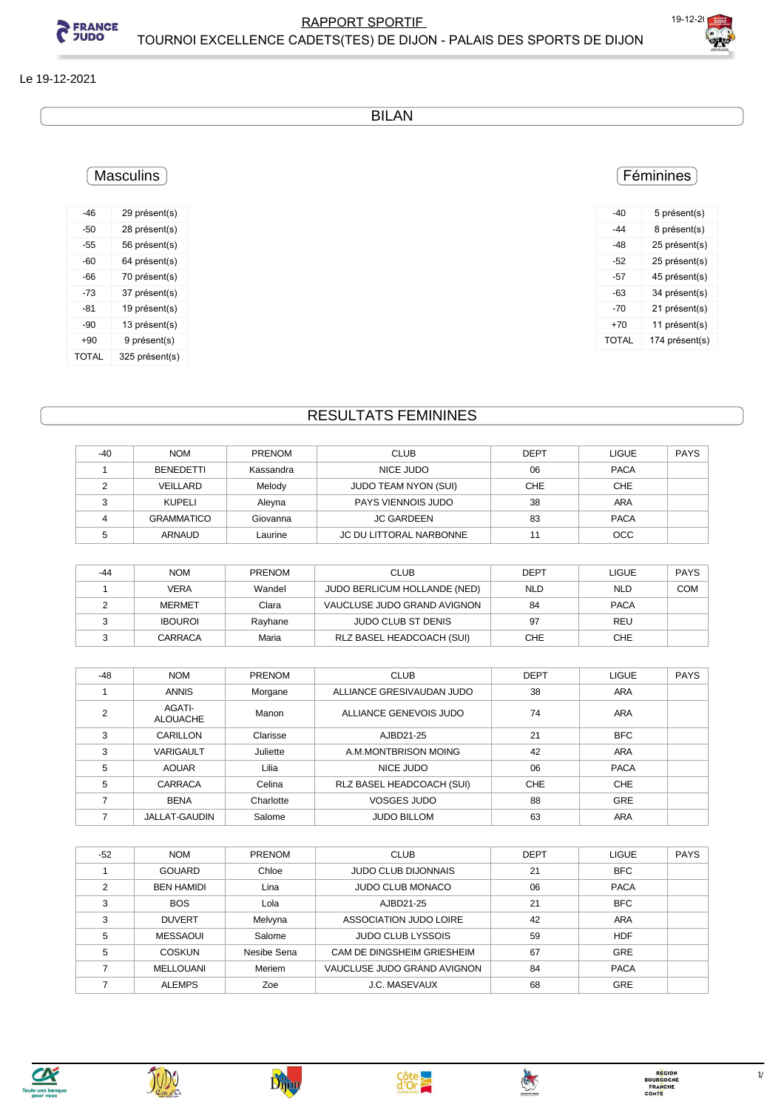

#### Le 19-12-2021

BILAN

### Féminines

| -40   | 5 présent(s)   |
|-------|----------------|
| -44   | 8 présent(s)   |
| -48   | 25 présent(s)  |
| -52   | 25 présent(s)  |
| -57   | 45 présent(s)  |
| -63   | 34 présent(s)  |
| -70   | 21 présent(s)  |
| $+70$ | 11 présent(s)  |
| TOTAL | 174 présent(s) |
|       |                |

#### -46 29 présent(s) -50 28 présent(s) -55 56 présent(s) -60 64 présent(s) -66 70 présent(s) -73 37 présent(s) -81 19 présent(s) -90 13 présent(s) +90 9 présent(s) TOTAL 325 présent(s)

**Masculins** 

## RESULTATS FEMININES

| $-40$ | <b>NOM</b>        | <b>PRENOM</b> | <b>CLUB</b>                 | <b>DEPT</b> | <b>LIGUE</b> | <b>PAYS</b> |
|-------|-------------------|---------------|-----------------------------|-------------|--------------|-------------|
|       | BENEDETTI         | Kassandra     | NICE JUDO                   | 06          | <b>PACA</b>  |             |
|       | VEILLARD          | Melody        | <b>JUDO TEAM NYON (SUI)</b> | <b>CHE</b>  | <b>CHE</b>   |             |
|       | KUPELI            | Aleyna        | PAYS VIENNOIS JUDO          | 38          | <b>ARA</b>   |             |
|       | <b>GRAMMATICO</b> | Giovanna      | <b>JC GARDEEN</b>           | 83          | <b>PACA</b>  |             |
|       | <b>ARNAUD</b>     | Laurine       | JC DU LITTORAL NARBONNE     |             | <b>OCC</b>   |             |

| -44 | <b>NOM</b>     | PRENOM  | <b>CLUB</b>                  | <b>DEPT</b> | <b>LIGUE</b> | <b>PAYS</b> |
|-----|----------------|---------|------------------------------|-------------|--------------|-------------|
|     | VERA           | Wandel  | JUDO BERLICUM HOLLANDE (NED) | <b>NLD</b>  | <b>NLD</b>   | <b>COM</b>  |
|     | <b>MERMET</b>  | Clara   | VAUCLUSE JUDO GRAND AVIGNON  | 84          | <b>PACA</b>  |             |
|     | <b>IBOUROI</b> | Rayhane | <b>JUDO CLUB ST DENIS</b>    | 97          | REU          |             |
|     | CARRACA        | Maria   | RLZ BASEL HEADCOACH (SUI)    | CHE         | <b>CHE</b>   |             |

| -48 | <b>NOM</b>                | <b>PRENOM</b> | <b>CLUB</b>               | DEPT       | <b>LIGUE</b> | <b>PAYS</b> |
|-----|---------------------------|---------------|---------------------------|------------|--------------|-------------|
|     | <b>ANNIS</b>              | Morgane       | ALLIANCE GRESIVAUDAN JUDO | 38         | <b>ARA</b>   |             |
| 2   | AGATI-<br><b>ALOUACHE</b> | Manon         | ALLIANCE GENEVOIS JUDO    | 74         | ARA          |             |
| 3   | CARILLON                  | Clarisse      | AJBD21-25                 | 21         | <b>BFC</b>   |             |
| 3   | <b>VARIGAULT</b>          | Juliette      | A.M.MONTBRISON MOING      | 42         | <b>ARA</b>   |             |
| 5   | <b>AOUAR</b>              | Lilia         | NICE JUDO                 | 06         | <b>PACA</b>  |             |
| 5   | <b>CARRACA</b>            | Celina        | RLZ BASEL HEADCOACH (SUI) | <b>CHE</b> | <b>CHE</b>   |             |
|     | <b>BENA</b>               | Charlotte     | <b>VOSGES JUDO</b>        | 88         | <b>GRE</b>   |             |
|     | JALLAT-GAUDIN             | Salome        | <b>JUDO BILLOM</b>        | 63         | <b>ARA</b>   |             |

| $-52$ | <b>NOM</b>        | <b>PRENOM</b> | <b>CLUB</b>                 | <b>DEPT</b> | <b>LIGUE</b> | <b>PAYS</b> |
|-------|-------------------|---------------|-----------------------------|-------------|--------------|-------------|
|       | <b>GOUARD</b>     | Chloe         | <b>JUDO CLUB DIJONNAIS</b>  | 21          | <b>BFC</b>   |             |
| C     | <b>BEN HAMIDI</b> | Lina          | JUDO CLUB MONACO            | 06          | <b>PACA</b>  |             |
| 3     | <b>BOS</b>        | Lola          | AJBD21-25                   | 21          | <b>BFC</b>   |             |
| 3     | <b>DUVERT</b>     | Melvyna       | ASSOCIATION JUDO LOIRE      | 42          | ARA          |             |
| 5     | <b>MESSAOUI</b>   | Salome        | <b>JUDO CLUB LYSSOIS</b>    | 59          | <b>HDF</b>   |             |
| 5     | COSKUN            | Nesibe Sena   | CAM DE DINGSHEIM GRIESHEIM  | 67          | <b>GRE</b>   |             |
|       | MELLOUANI         | Meriem        | VAUCLUSE JUDO GRAND AVIGNON | 84          | <b>PACA</b>  |             |
|       | <b>ALEMPS</b>     | Zoe           | <b>J.C. MASEVAUX</b>        | 68          | <b>GRE</b>   |             |









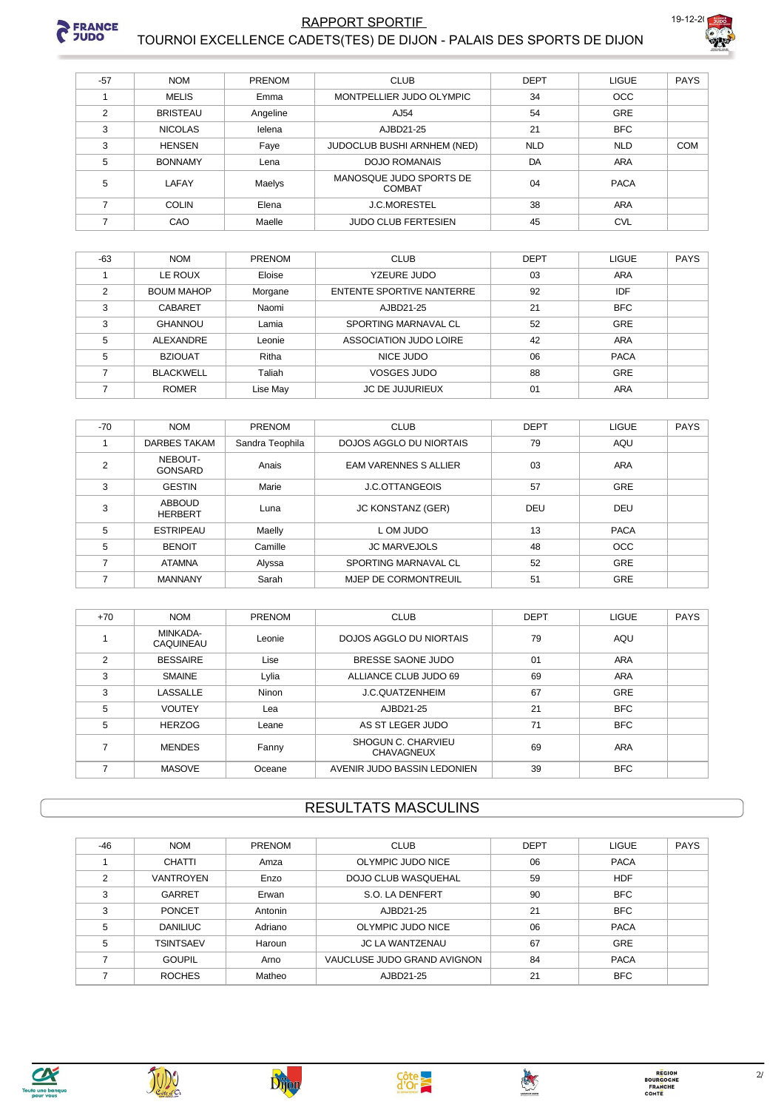

#### **RAPPORT SPORTIF** TOURNOI EXCELLENCE CADETS(TES) DE DIJON - PALAIS DES SPORTS DE DIJON



| $-57$          | <b>NOM</b>      | <b>PRENOM</b> | <b>CLUB</b>                              | <b>DEPT</b> | <b>LIGUE</b> | <b>PAYS</b> |
|----------------|-----------------|---------------|------------------------------------------|-------------|--------------|-------------|
|                | <b>MELIS</b>    | Emma          | MONTPELLIER JUDO OLYMPIC                 | 34          | <b>OCC</b>   |             |
| $\mathfrak{p}$ | <b>BRISTEAU</b> | Angeline      | AJ54                                     | 54          | <b>GRE</b>   |             |
| 3              | <b>NICOLAS</b>  | lelena        | AJBD21-25                                | 21          | <b>BFC</b>   |             |
| 3              | <b>HENSEN</b>   | Faye          | JUDOCLUB BUSHI ARNHEM (NED)              | <b>NLD</b>  | <b>NLD</b>   | <b>COM</b>  |
| 5              | <b>BONNAMY</b>  | Lena          | <b>DOJO ROMANAIS</b>                     | DA          | <b>ARA</b>   |             |
| 5              | LAFAY           | Maelys        | MANOSQUE JUDO SPORTS DE<br><b>COMBAT</b> | 04          | <b>PACA</b>  |             |
|                | <b>COLIN</b>    | Elena         | <b>J.C.MORESTEL</b>                      | 38          | <b>ARA</b>   |             |
|                | CAO             | Maelle        | <b>JUDO CLUB FERTESIEN</b>               | 45          | <b>CVL</b>   |             |

| $-63$          | <b>NOM</b>        | <b>PRENOM</b> | <b>CLUB</b>               | <b>DEPT</b> | <b>LIGUE</b> | <b>PAYS</b> |
|----------------|-------------------|---------------|---------------------------|-------------|--------------|-------------|
|                | LE ROUX           | Eloise        | YZEURE JUDO               | 03          | <b>ARA</b>   |             |
| $\mathfrak{p}$ | <b>BOUM MAHOP</b> | Morgane       | ENTENTE SPORTIVE NANTERRE | 92          | <b>IDF</b>   |             |
| 3              | <b>CABARET</b>    | Naomi         | AJBD21-25                 | 21          | <b>BFC</b>   |             |
| 3              | <b>GHANNOU</b>    | Lamia         | SPORTING MARNAVAL CL      | 52          | GRE          |             |
| 5              | ALEXANDRE         | Leonie        | ASSOCIATION JUDO LOIRE    | 42          | <b>ARA</b>   |             |
| 5              | <b>BZIOUAT</b>    | Ritha         | NICE JUDO                 | 06          | <b>PACA</b>  |             |
|                | <b>BLACKWELL</b>  | Taliah        | <b>VOSGES JUDO</b>        | 88          | GRE          |             |
|                | <b>ROMER</b>      | Lise May      | <b>JC DE JUJURIEUX</b>    | 01          | ARA          |             |

| $-70$ | <b>NOM</b>                      | PRENOM          | <b>CLUB</b>                  | <b>DEPT</b> | <b>LIGUE</b> | <b>PAYS</b> |
|-------|---------------------------------|-----------------|------------------------------|-------------|--------------|-------------|
|       | <b>DARBES TAKAM</b>             | Sandra Teophila | DOJOS AGGLO DU NIORTAIS      | 79          | AQU          |             |
| 2     | NEBOUT-<br><b>GONSARD</b>       | Anais           | <b>EAM VARENNES S ALLIER</b> | 03          | ARA          |             |
| 3     | <b>GESTIN</b>                   | Marie           | <b>J.C.OTTANGEOIS</b>        | 57          | GRE          |             |
| 3     | <b>ABBOUD</b><br><b>HERBERT</b> | Luna            | <b>JC KONSTANZ (GER)</b>     | DEU         | DEU          |             |
| 5     | <b>ESTRIPEAU</b>                | Maelly          | L OM JUDO                    | 13          | <b>PACA</b>  |             |
| 5     | <b>BENOIT</b>                   | Camille         | <b>JC MARVEJOLS</b>          | 48          | <b>OCC</b>   |             |
|       | <b>ATAMNA</b>                   | Alyssa          | SPORTING MARNAVAL CL         | 52          | <b>GRE</b>   |             |
|       | <b>MANNANY</b>                  | Sarah           | MJEP DE CORMONTREUIL         | 51          | <b>GRE</b>   |             |

| $+70$ | <b>NOM</b>            | PRENOM | <b>CLUB</b>                             | <b>DEPT</b> | <b>LIGUE</b> | <b>PAYS</b> |
|-------|-----------------------|--------|-----------------------------------------|-------------|--------------|-------------|
|       | MINKADA-<br>CAQUINEAU | Leonie | DOJOS AGGLO DU NIORTAIS                 | 79          | AQU          |             |
| 2     | <b>BESSAIRE</b>       | Lise   | BRESSE SAONE JUDO                       | 01          | ARA          |             |
| 3     | <b>SMAINE</b>         | Lylia  | ALLIANCE CLUB JUDO 69                   | 69          | <b>ARA</b>   |             |
| 3     | LASSALLE              | Ninon  | <b>J.C.OUATZENHEIM</b>                  | 67          | <b>GRE</b>   |             |
| 5     | <b>VOUTEY</b>         | Lea    | AJBD21-25                               | 21          | <b>BFC</b>   |             |
| 5     | <b>HERZOG</b>         | Leane  | AS ST LEGER JUDO                        | 71          | <b>BFC</b>   |             |
|       | <b>MENDES</b>         | Fanny  | SHOGUN C. CHARVIEU<br><b>CHAVAGNEUX</b> | 69          | ARA          |             |
|       | <b>MASOVE</b>         | Oceane | AVENIR JUDO BASSIN LEDONIEN             | 39          | <b>BFC</b>   |             |

# **RESULTATS MASCULINS**

| $-46$ | <b>NOM</b>       | PRENOM  | <b>CLUB</b>                 | <b>DEPT</b> | <b>LIGUE</b> | <b>PAYS</b> |
|-------|------------------|---------|-----------------------------|-------------|--------------|-------------|
|       | <b>CHATTI</b>    | Amza    | OLYMPIC JUDO NICE           | 06          | <b>PACA</b>  |             |
| ◠     | <b>VANTROYEN</b> | Enzo    | <b>DOJO CLUB WASQUEHAL</b>  | 59          | <b>HDF</b>   |             |
| 3     | GARRET           | Erwan   | S.O. LA DENFERT             | 90          | <b>BFC</b>   |             |
| 3     | <b>PONCET</b>    | Antonin | AJBD21-25                   | 21          | <b>BFC</b>   |             |
| 5     | <b>DANILIUC</b>  | Adriano | OLYMPIC JUDO NICE           | 06          | <b>PACA</b>  |             |
| 5     | <b>TSINTSAEV</b> | Haroun  | <b>JC LA WANTZENAU</b>      | 67          | GRE          |             |
|       | <b>GOUPIL</b>    | Arno    | VAUCLUSE JUDO GRAND AVIGNON | 84          | <b>PACA</b>  |             |
|       | <b>ROCHES</b>    | Matheo  | AJBD21-25                   | 21          | <b>BFC</b>   |             |







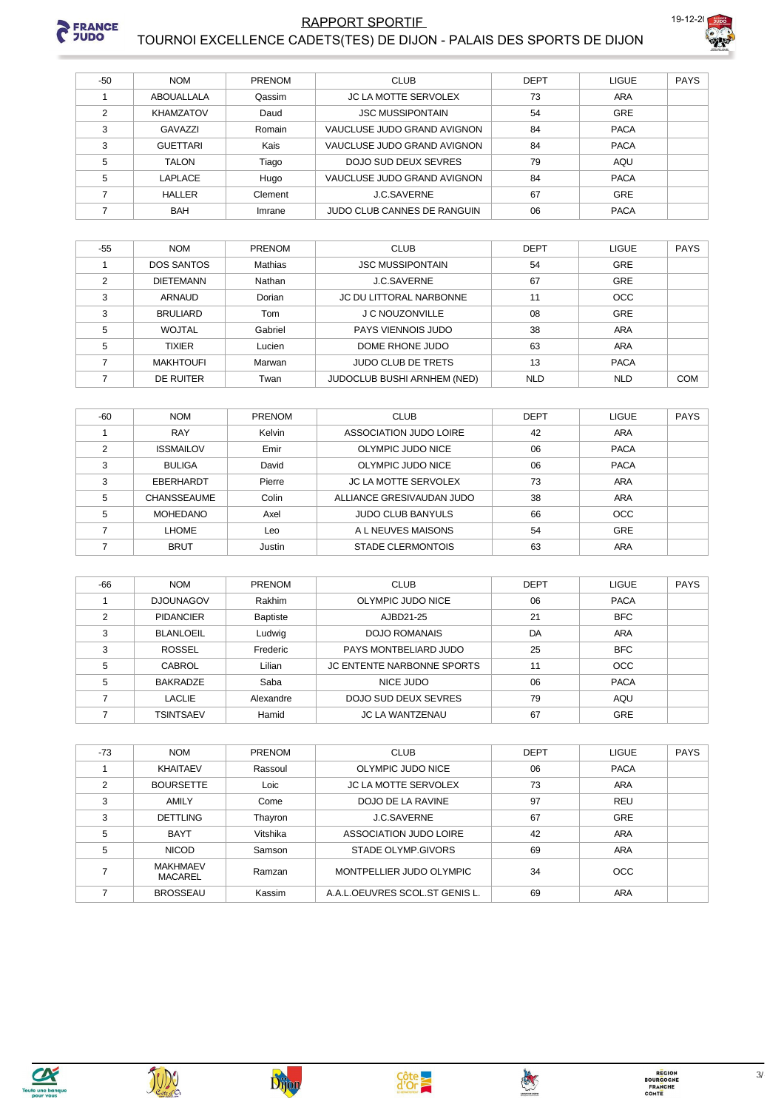

#### RAPPORT SPORTIF TOURNOI EXCELLENCE CADETS(TES) DE DIJON - PALAIS DES SPORTS DE DIJON



| $-50$ | <b>NOM</b>       | PRENOM  | <b>CLUB</b>                 | <b>DEPT</b> | <b>LIGUE</b> | <b>PAYS</b> |
|-------|------------------|---------|-----------------------------|-------------|--------------|-------------|
|       | ABOUALLALA       | Qassim  | <b>JC LA MOTTE SERVOLEX</b> | 73          | ARA          |             |
| 2     | <b>KHAMZATOV</b> | Daud    | <b>JSC MUSSIPONTAIN</b>     | 54          | <b>GRE</b>   |             |
| 3     | GAVAZZI          | Romain  | VAUCLUSE JUDO GRAND AVIGNON | 84          | <b>PACA</b>  |             |
| 3     | <b>GUETTARI</b>  | Kais    | VAUCLUSE JUDO GRAND AVIGNON | 84          | <b>PACA</b>  |             |
| 5     | <b>TALON</b>     | Tiago   | DOJO SUD DEUX SEVRES        | 79          | AQU          |             |
| 5     | LAPLACE          | Hugo    | VAUCLUSE JUDO GRAND AVIGNON | 84          | <b>PACA</b>  |             |
|       | <b>HALLER</b>    | Clement | J.C.SAVERNE                 | 67          | <b>GRE</b>   |             |
|       | <b>BAH</b>       | Imrane  | JUDO CLUB CANNES DE RANGUIN | 06          | <b>PACA</b>  |             |

| $-55$ | <b>NOM</b>        | <b>PRENOM</b>  | <b>CLUB</b>                    | <b>DEPT</b> | <b>LIGUE</b> | <b>PAYS</b> |
|-------|-------------------|----------------|--------------------------------|-------------|--------------|-------------|
|       | <b>DOS SANTOS</b> | <b>Mathias</b> | <b>JSC MUSSIPONTAIN</b>        | 54          | GRE          |             |
| 2     | <b>DIETEMANN</b>  | Nathan         | <b>J.C.SAVERNE</b>             | 67          | GRE          |             |
| 3     | <b>ARNAUD</b>     | Dorian         | <b>JC DU LITTORAL NARBONNE</b> | 11          | <b>OCC</b>   |             |
| 3     | <b>BRULIARD</b>   | Tom            | <b>J C NOUZONVILLE</b>         | 08          | GRE          |             |
| 5     | <b>WOJTAL</b>     | Gabriel        | PAYS VIENNOIS JUDO             | 38          | ARA          |             |
| 5     | <b>TIXIER</b>     | Lucien         | DOME RHONE JUDO                | 63          | ARA          |             |
|       | <b>MAKHTOUFI</b>  | Marwan         | <b>JUDO CLUB DE TRETS</b>      | 13          | <b>PACA</b>  |             |
|       | DE RUITER         | Twan           | JUDOCLUB BUSHI ARNHEM (NED)    | <b>NLD</b>  | <b>NLD</b>   | <b>COM</b>  |

| $-60$ | <b>NOM</b>         | <b>PRENOM</b> | <b>CLUB</b>                 | <b>DEPT</b> | <b>LIGUE</b> | <b>PAYS</b> |
|-------|--------------------|---------------|-----------------------------|-------------|--------------|-------------|
|       | <b>RAY</b>         | Kelvin        | ASSOCIATION JUDO LOIRE      | 42          | ARA          |             |
| ◠     | <b>ISSMAILOV</b>   | Emir          | OLYMPIC JUDO NICE           | 06          | <b>PACA</b>  |             |
| 3     | <b>BULIGA</b>      | David         | OLYMPIC JUDO NICE           | 06          | <b>PACA</b>  |             |
| 3     | EBERHARDT          | Pierre        | <b>JC LA MOTTE SERVOLEX</b> | 73          | ARA          |             |
| 5     | <b>CHANSSEAUME</b> | Colin         | ALLIANCE GRESIVAUDAN JUDO   | 38          | ARA          |             |
| 5     | <b>MOHEDANO</b>    | Axel          | <b>JUDO CLUB BANYULS</b>    | 66          | <b>OCC</b>   |             |
|       | LHOME              | Leo           | A L NEUVES MAISONS          | 54          | <b>GRE</b>   |             |
|       | <b>BRUT</b>        | Justin        | <b>STADE CLERMONTOIS</b>    | 63          | <b>ARA</b>   |             |

| $-66$ | <b>NOM</b>       | <b>PRENOM</b>   | <b>CLUB</b>                       | <b>DEPT</b> | <b>LIGUE</b> | <b>PAYS</b> |
|-------|------------------|-----------------|-----------------------------------|-------------|--------------|-------------|
|       | <b>DJOUNAGOV</b> | Rakhim          | OLYMPIC JUDO NICE                 | 06          | <b>PACA</b>  |             |
| っ     | <b>PIDANCIER</b> | <b>Baptiste</b> | AJBD21-25                         | 21          | <b>BFC</b>   |             |
| 3     | BLANLOEIL        | Ludwig          | <b>DOJO ROMANAIS</b>              | DA          | <b>ARA</b>   |             |
| 3     | ROSSEL           | Frederic        | PAYS MONTBELIARD JUDO             | 25          | <b>BFC</b>   |             |
| 5     | <b>CABROL</b>    | Lilian          | <b>JC ENTENTE NARBONNE SPORTS</b> | 11          | <b>OCC</b>   |             |
| 5     | <b>BAKRADZE</b>  | Saba            | NICE JUDO                         | 06          | <b>PACA</b>  |             |
|       | LACLIE           | Alexandre       | DOJO SUD DEUX SEVRES              | 79          | AQU          |             |
|       | <b>TSINTSAEV</b> | Hamid           | <b>JC LA WANTZENAU</b>            | 67          | <b>GRE</b>   |             |

| -73 | <b>NOM</b>                        | PRENOM   | <b>CLUB</b>                    | <b>DEPT</b> | <b>LIGUE</b> | <b>PAYS</b> |
|-----|-----------------------------------|----------|--------------------------------|-------------|--------------|-------------|
|     | <b>KHAITAEV</b>                   | Rassoul  | OLYMPIC JUDO NICE              | 06          | <b>PACA</b>  |             |
| C   | <b>BOURSETTE</b>                  | Loic     | <b>JC LA MOTTE SERVOLEX</b>    | 73          | <b>ARA</b>   |             |
| 3   | AMILY                             | Come     | DOJO DE LA RAVINE              | 97          | <b>REU</b>   |             |
| 3   | <b>DETTLING</b>                   | Thayron  | J.C.SAVERNE                    | 67          | GRE          |             |
| 5   | <b>BAYT</b>                       | Vitshika | ASSOCIATION JUDO LOIRE         | 42          | <b>ARA</b>   |             |
| 5   | <b>NICOD</b>                      | Samson   | STADE OLYMP.GIVORS             | 69          | <b>ARA</b>   |             |
|     | <b>MAKHMAEV</b><br><b>MACAREL</b> | Ramzan   | MONTPELLIER JUDO OLYMPIC       | 34          | <b>OCC</b>   |             |
|     | <b>BROSSEAU</b>                   | Kassim   | A.A.L.OEUVRES SCOL.ST GENIS L. | 69          | <b>ARA</b>   |             |





Dijon

JUDO